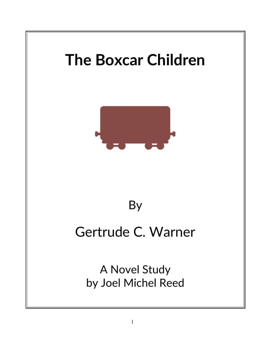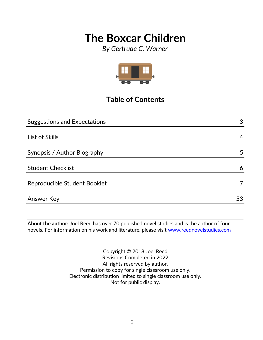*By Gertrude C. Warner*



## **Table of Contents**

| <b>Suggestions and Expectations</b> | 3  |
|-------------------------------------|----|
|                                     |    |
| List of Skills                      | 4  |
|                                     |    |
| Synopsis / Author Biography         | 5  |
| <b>Student Checklist</b>            | 6  |
| Reproducible Student Booklet        |    |
| <b>Answer Key</b>                   | 53 |

**About the author:** Joel Reed has over 70 published novel studies and is the author of four  $|$ novels. For information on his work and literature, please visit  $\overline{\text{www.reednovelstudies.com}}$ 

> Copyright © 2018 Joel Reed Revisions Completed in 2022 All rights reserved by author. Permission to copy for single classroom use only. Electronic distribution limited to single classroom use only. Not for public display.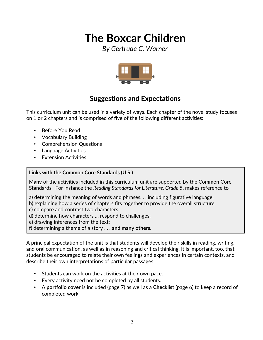*By Gertrude C. Warner*



### **Suggestions and Expectations**

This curriculum unit can be used in a variety of ways. Each chapter of the novel study focuses on 1 or 2 chapters and is comprised of five of the following different activities:

- Before You Read
- Vocabulary Building
- Comprehension Questions
- Language Activities
- Extension Activities

#### **Links with the Common Core Standards (U.S.)**

Many of the activities included in this curriculum unit are supported by the Common Core Standards. For instance the *Reading Standards for Literature, Grade 5*, makes reference to

- a) determining the meaning of words and phrases. . . including figurative language;
- b) explaining how a series of chapters fits together to provide the overall structure;
- c) compare and contrast two characters;
- d) determine how characters … respond to challenges;
- e) drawing inferences from the text;
- f) determining a theme of a story . . . **and many others.**

A principal expectation of the unit is that students will develop their skills in reading, writing, and oral communication, as well as in reasoning and critical thinking. It is important, too, that students be encouraged to relate their own feelings and experiences in certain contexts, and describe their own interpretations of particular passages.

- Students can work on the activities at their own pace.
- Every activity need not be completed by all students.
- A **portfolio cover** is included (page 7) as well as a **Checklist** (page 6) to keep a record of completed work.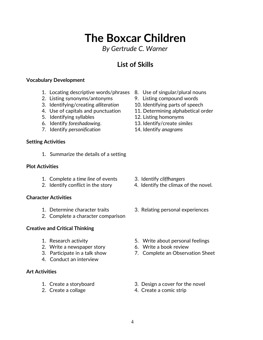## **The Boxcar Children** *By Gertrude C. Warner*

### **List of Skills**

#### **Vocabulary Development**

- 1. Locating descriptive words/phrases 8. Use of singular/plural nouns
- 2. Listing synonyms/antonyms 9. Listing compound words
- 3. Identifying/creating *alliteration* 10. Identifying parts of speech
- 
- 5. Identifying syllables 12. Listing homonyms
- 6. Identify *foreshadowing*. 13. Identify/create *similes*
- 7. Identify *personification* 14. Identify *anagrams*

#### **Setting Activities**

1. Summarize the details of a setting

#### **Plot Activities**

- 1. Complete a *time line* of events 3. Identify *cliffhangers*
- 

#### **Character Activities**

- 
- 2. Complete a character comparison

#### **Creative and Critical Thinking**

- 
- 2. Write a newspaper story 6. Write a book review
- 
- 4. Conduct an interview

#### **Art Activities**

- 
- 
- 
- 
- 
- 4. Use of capitals and punctuation 11. Determining alphabetical order
	-
	-
	-

- 
- 2. Identify conflict in the story 4. Identify the climax of the novel.
- 1. Determine character traits 3. Relating personal experiences
- 1. Research activity 5. Write about personal feelings
	-
- 3. Participate in a talk show 7. Complete an Observation Sheet
- 1. Create a storyboard 3. Design a cover for the novel
- 2. Create a collage 4. Create a comic strip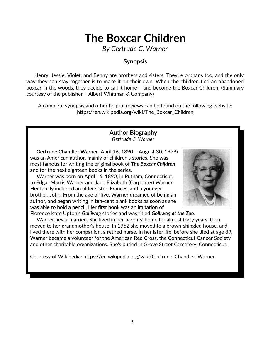*By Gertrude C. Warner*

### **Synopsis**

 Henry, Jessie, Violet, and Benny are brothers and sisters. They're orphans too, and the only way they can stay together is to make it on their own. When the children find an abandoned boxcar in the woods, they decide to call it home – and become the Boxcar Children. (Summary courtesy of the publisher – Albert Whitman & Company)

A complete synopsis and other helpful reviews can be found on the following website: https://en.wikipedia.org/wiki/The\_Boxcar\_Children

> **Author Biography** *Gertrude C. Warner*

 **Gertrude Chandler Warner** (April 16, 1890 – August 30, 1979) was an American author, mainly of children's stories. She was most famous for writing the original book of *The Boxcar Children* and for the next eighteen books in the series.

 Warner was born on April 16, 1890, in Putnam, Connecticut, to Edgar Morris Warner and Jane Elizabeth (Carpenter) Warner. Her family included an older sister, Frances, and a younger brother, John. From the age of five, Warner dreamed of being an author, and began writing in ten-cent blank books as soon as she was able to hold a pencil. Her first book was an imitation of Florence Kate Upton's *Golliwog* stories and was titled *Golliwog at the Zoo*.



 Warner never married. She lived in her parents' home for almost forty years, then moved to her grandmother's house. In 1962 she moved to a brown-shingled house, and lived there with her companion, a retired nurse. In her later life, before she died at age 89, Warner became a volunteer for the American Red Cross, the Connecticut Cancer Society and other charitable organizations. She's buried in Grove Street Cemetery, Connecticut.

Courtesy of Wikipedia: [https://en.wikipedia.org/wiki/Gertrude\\_Chandler\\_Warner](https://en.wikipedia.org/wiki/Gertrude_Chandler_Warner)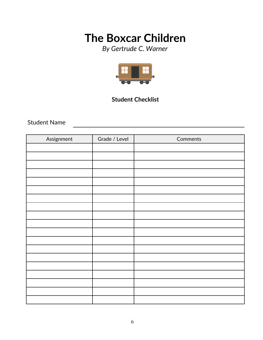*By Gertrude C. Warner*



### **Student Checklist**

<u> 1989 - Johann Stein, marwolaethau a bhann an t-Amhain Aonaich an t-Amhain Aonaich an t-Amhain Aonaich an t-A</u>

Student Name

| Assignment | Grade / Level | Comments |
|------------|---------------|----------|
|            |               |          |
|            |               |          |
|            |               |          |
|            |               |          |
|            |               |          |
|            |               |          |
|            |               |          |
|            |               |          |
|            |               |          |
|            |               |          |
|            |               |          |
|            |               |          |
|            |               |          |
|            |               |          |
|            |               |          |
|            |               |          |
|            |               |          |
|            |               |          |
|            |               |          |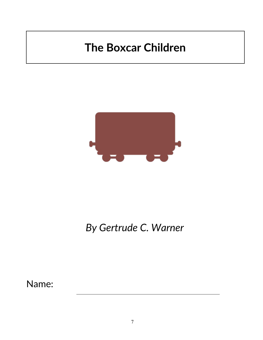

## *By Gertrude C. Warner*

Name: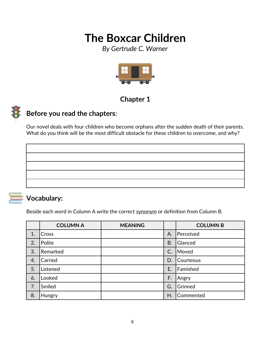*By Gertrude C. Warner*



### **Chapter 1**



### **Before you read the chapters**:

Our novel deals with four children who become orphans after the sudden death of their parents. What do you think will be the most difficult obstacle for these children to overcome, and why?



### **Vocabulary:**

Beside each word in Column A write the correct synonym or definition from Column B.

|    | <b>COLUMN A</b> | <b>MEANING</b> |           | <b>COLUMN B</b> |
|----|-----------------|----------------|-----------|-----------------|
| 1. | Cross           |                | А.        | Perceived       |
| 2. | Polite          |                | <b>B.</b> | Glanced         |
| 3. | Remarked        |                | C.        | Moved           |
| 4. | Carried         |                | D.        | Courteous       |
| 5. | Listened        |                | E.        | Famished        |
| 6. | Looked          |                | F.        | Angry           |
| 7. | Smiled          |                | G.        | Grinned         |
| 8. | Hungry          |                | H         | Commented       |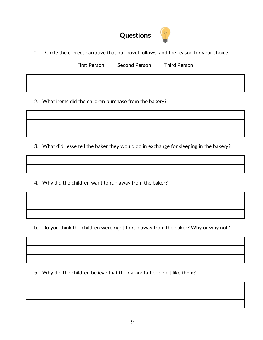

1. Circle the correct narrative that our novel follows, and the reason for your choice.

First Person Second Person Third Person

2. What items did the children purchase from the bakery?

3. What did Jesse tell the baker they would do in exchange for sleeping in the bakery?

4. Why did the children want to run away from the baker?

b. Do you think the children were right to run away from the baker? Why or why not?

5. Why did the children believe that their grandfather didn't like them?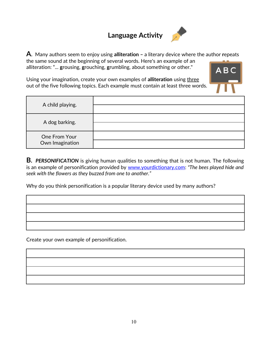## **Language Activity**



**A**. Many authors seem to enjoy using **alliteration –** a literary device where the author **r**epeats the same sound at the beginning of several words. Here's an example of an alliteration: "... **g**rousing, **g**rouching, **g**rumbling, about something or other."

Using your imagination, create your own examples of **alliteration** using three out of the five following topics. Each example must contain at least three words.

| A child playing.                 |  |
|----------------------------------|--|
| A dog barking.                   |  |
| One From Your<br>Own Imagination |  |

**B.** *PERSONIFICATION* is giving human qualities to something that is not human. The following is an example of personification provided by [www.yourdictionary.com:](http://www.yourdictionary.com/) *"The bees played hide and seek with the flowers as they buzzed from one to another."*

Why do you think personification is a popular literary device used by many authors?

Create your own example of personification.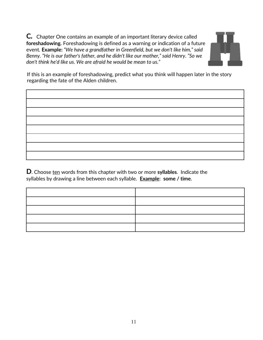**C***.*Chapter One contains an example of an important literary device called **foreshadowing.** Foreshadowing is defined as a warning or indication of a future event*.* **Example:** *"We have a grandfather in Greenfield, but we don't like him," said Benny. "He is our father's father, and he didn't like our mother," said Henry. "So we don't think he'd like us. We are afraid he would be mean to us."*



If this is an example of foreshadowing, predict what you think will happen later in the story regarding the fate of the Alden children.

**D**. Choose ten words from this chapter with two or more **syllables**. Indicate the syllables by drawing a line between each syllable. **Example**: **some / time**.